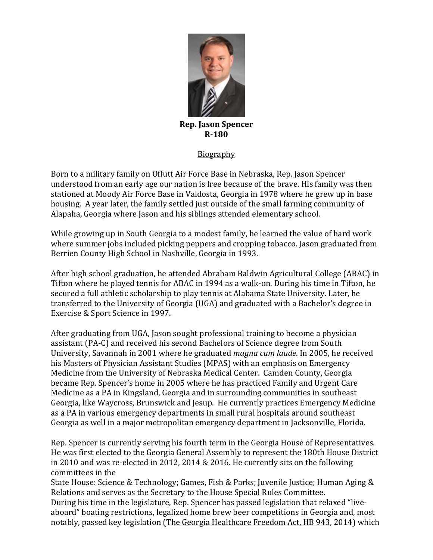

## **Rep. Jason Spencer R-180**

## Biography

Born to a military family on Offutt Air Force Base in Nebraska, Rep. Jason Spencer understood from an early age our nation is free because of the brave. His family was then stationed at Moody Air Force Base in Valdosta, Georgia in 1978 where he grew up in base housing. A year later, the family settled just outside of the small farming community of Alapaha, Georgia where Jason and his siblings attended elementary school.

While growing up in South Georgia to a modest family, he learned the value of hard work where summer jobs included picking peppers and cropping tobacco. Jason graduated from Berrien County High School in Nashville, Georgia in 1993.

After high school graduation, he attended Abraham Baldwin Agricultural College (ABAC) in Tifton where he played tennis for ABAC in 1994 as a walk-on. During his time in Tifton, he secured a full athletic scholarship to play tennis at Alabama State University. Later, he transferred to the University of Georgia (UGA) and graduated with a Bachelor's degree in Exercise & Sport Science in 1997.

After graduating from UGA, Jason sought professional training to become a physician assistant (PA-C) and received his second Bachelors of Science degree from South University, Savannah in 2001 where he graduated *magna cum laude*. In 2005, he received his Masters of Physician Assistant Studies (MPAS) with an emphasis on Emergency Medicine from the University of Nebraska Medical Center. Camden County, Georgia became Rep. Spencer's home in 2005 where he has practiced Family and Urgent Care Medicine as a PA in Kingsland, Georgia and in surrounding communities in southeast Georgia, like Waycross, Brunswick and Jesup. He currently practices Emergency Medicine as a PA in various emergency departments in small rural hospitals around southeast Georgia as well in a major metropolitan emergency department in Jacksonville, Florida.

Rep. Spencer is currently serving his fourth term in the Georgia House of Representatives. He was first elected to the Georgia General Assembly to represent the 180th House District in 2010 and was re-elected in 2012, 2014 & 2016. He currently sits on the following committees in the

State House: Science & Technology; Games, Fish & Parks; Juvenile Justice; Human Aging & Relations and serves as the Secretary to the House Special Rules Committee. During his time in the legislature, Rep. Spencer has passed legislation that relaxed "liveaboard" boating restrictions, legalized home brew beer competitions in Georgia and, most notably, passed key legislation [\(The Georgia Healthcare Freedom Act, HB 943,](http://readingroom.law.gsu.edu/cgi/viewcontent.cgi?article=2771&context=gsulr) 2014) which